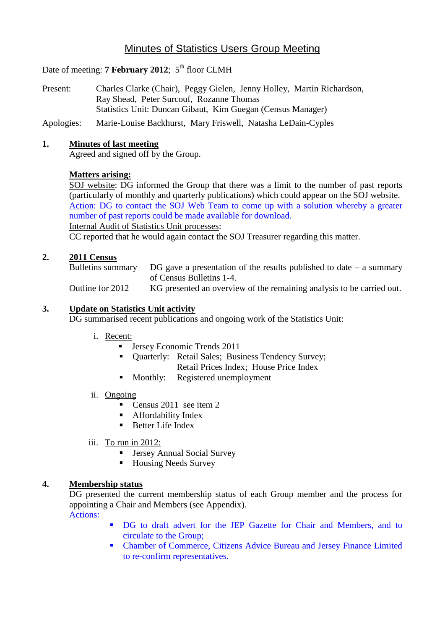# Minutes of Statistics Users Group Meeting

# Date of meeting: **7 February 2012**; 5<sup>th</sup> floor CLMH

- Present: Charles Clarke (Chair), Peggy Gielen, Jenny Holley, Martin Richardson, Ray Shead, Peter Surcouf, Rozanne Thomas Statistics Unit: Duncan Gibaut, Kim Guegan (Census Manager)
- Apologies: Marie-Louise Backhurst, Mary Friswell, Natasha LeDain-Cyples

## **1. Minutes of last meeting**

Agreed and signed off by the Group.

## **Matters arising:**

SOJ website: DG informed the Group that there was a limit to the number of past reports (particularly of monthly and quarterly publications) which could appear on the SOJ website. Action: DG to contact the SOJ Web Team to come up with a solution whereby a greater number of past reports could be made available for download.

Internal Audit of Statistics Unit processes:

CC reported that he would again contact the SOJ Treasurer regarding this matter.

#### **2. 2011 Census**

Bulletins summary DG gave a presentation of the results published to date  $-$  a summary of Census Bulletins 1-4.

Outline for 2012 KG presented an overview of the remaining analysis to be carried out.

#### **3. Update on Statistics Unit activity**

DG summarised recent publications and ongoing work of the Statistics Unit:

- i. Recent:
	- **Jersey Economic Trends 2011**
	- **Duarterly:** Retail Sales; Business Tendency Survey; Retail Prices Index; House Price Index
	- Monthly: Registered unemployment
- ii. Ongoing
	- Census 2011 see item 2
	- **Affordability Index**
	- **Better Life Index**
- iii. To run in 2012:
	- Jersey Annual Social Survey
	- Housing Needs Survey

#### **4. Membership status**

DG presented the current membership status of each Group member and the process for appointing a Chair and Members (see Appendix). Actions:

- DG to draft advert for the JEP Gazette for Chair and Members, and to circulate to the Group;
- Chamber of Commerce, Citizens Advice Bureau and Jersey Finance Limited to re-confirm representatives.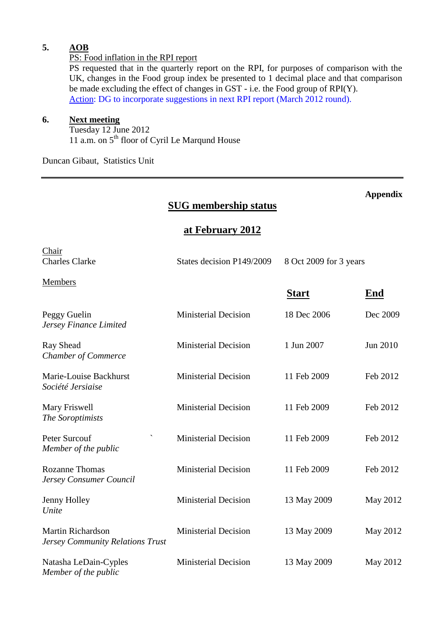## **5. AOB**

#### PS: Food inflation in the RPI report

PS requested that in the quarterly report on the RPI, for purposes of comparison with the UK, changes in the Food group index be presented to 1 decimal place and that comparison be made excluding the effect of changes in GST - i.e. the Food group of RPI(Y). Action: DG to incorporate suggestions in next RPI report (March 2012 round).

**Appendix**

#### **6. Next meeting**

Tuesday 12 June 2012 11 a.m. on 5th floor of Cyril Le Marqund House

Duncan Gibaut, Statistics Unit

# **SUG membership status at February 2012** Chair Charles Clarke States decision P149/2009 8 Oct 2009 for 3 years Members **Start End** Peggy Guelin Ministerial Decision 18 Dec 2006 Dec 2009 *Jersey Finance Limited* Ray Shead Ministerial Decision 1 Jun 2007 Jun 2010 *Chamber of Commerce* Marie-Louise Backhurst Ministerial Decision 11 Feb 2009 Feb 2012 *Société Jersiaise* Mary Friswell Ministerial Decision 11 Feb 2009 Feb 2012 *The Soroptimists* Peter Surcouf **Survey Contains A Ministerial Decision** 11 Feb 2009 Feb 2012 *Member of the public* Rozanne Thomas Ministerial Decision 11 Feb 2009 Feb 2012 *Jersey Consumer Council* Jenny Holley Ministerial Decision 13 May 2009 May 2012 *Unite* Martin Richardson Ministerial Decision 13 May 2009 May 2012 *Jersey Community Relations Trust* Natasha LeDain-Cyples Ministerial Decision 13 May 2009 May 2012 *Member of the public*